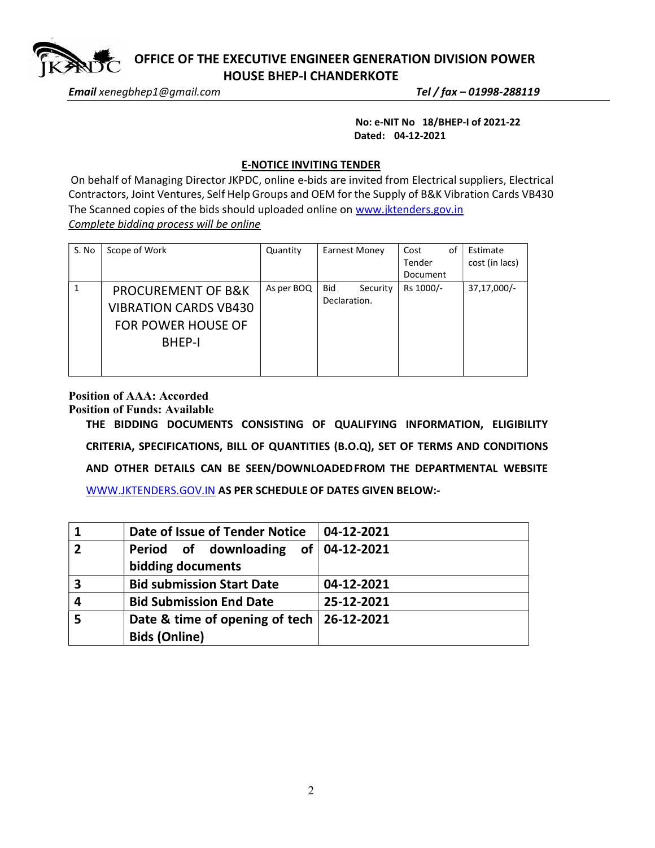

 OFFICE OF THE EXECUTIVE ENGINEER GENERATION DIVISION POWER HOUSE BHEP-I CHANDERKOTE

Email xenegbhep1@gmail.com Tel / fax – 01998-288119

 No: e-NIT No 18/BHEP-I of 2021-22 Dated: 04-12-2021

## E-NOTICE INVITING TENDER

On behalf of Managing Director JKPDC, online e-bids are invited from Electrical suppliers, Electrical Contractors, Joint Ventures, Self Help Groups and OEM for the Supply of B&K Vibration Cards VB430 The Scanned copies of the bids should uploaded online on www.jktenders.gov.in Complete bidding process will be online

| S. No | Scope of Work                                                                                               | Quantity   | Earnest Money                          | of<br>Cost<br>Tender<br>Document | Estimate<br>cost (in lacs) |
|-------|-------------------------------------------------------------------------------------------------------------|------------|----------------------------------------|----------------------------------|----------------------------|
|       | <b>PROCUREMENT OF B&amp;K</b><br><b>VIBRATION CARDS VB430</b><br><b>FOR POWER HOUSE OF</b><br><b>BHEP-I</b> | As per BOQ | <b>Bid</b><br>Security<br>Declaration. | Rs 1000/-                        | 37,17,000/-                |

## Position of AAA: Accorded

Position of Funds: Available

THE BIDDING DOCUMENTS CONSISTING OF QUALIFYING INFORMATION, ELIGIBILITY CRITERIA, SPECIFICATIONS, BILL OF QUANTITIES (B.O.Q), SET OF TERMS AND CONDITIONS AND OTHER DETAILS CAN BE SEEN/DOWNLOADED FROM THE DEPARTMENTAL WEBSITE WWW.JKTENDERS.GOV.IN AS PER SCHEDULE OF DATES GIVEN BELOW:-

|             | Date of Issue of Tender Notice                           | 04-12-2021 |
|-------------|----------------------------------------------------------|------------|
| $\mathbf 2$ | Period of downloading of 04-12-2021<br>bidding documents |            |
| 3           | <b>Bid submission Start Date</b>                         | 04-12-2021 |
| 4           | <b>Bid Submission End Date</b>                           | 25-12-2021 |
| 5           | Date & time of opening of tech   26-12-2021              |            |
|             | <b>Bids (Online)</b>                                     |            |